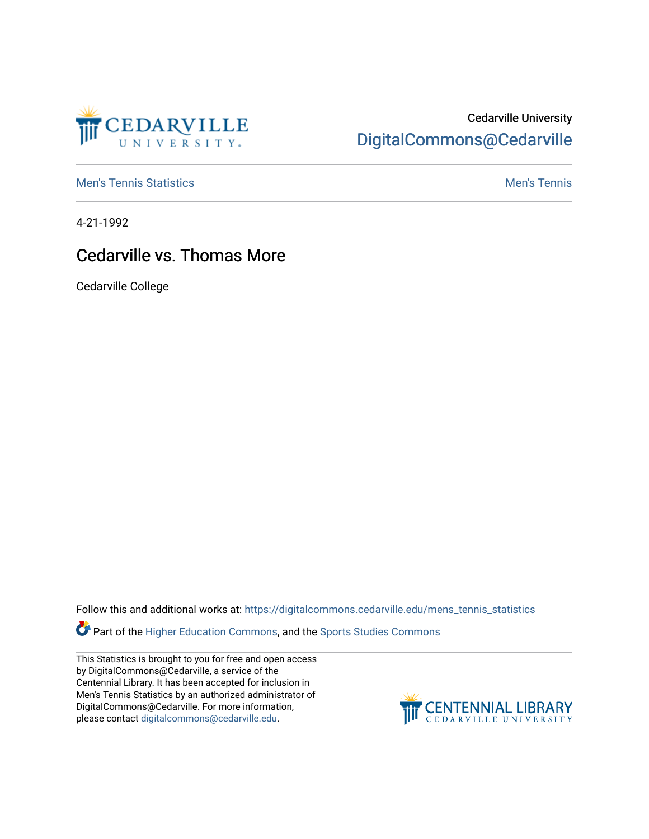

## Cedarville University [DigitalCommons@Cedarville](https://digitalcommons.cedarville.edu/)

**[Men's Tennis Statistics](https://digitalcommons.cedarville.edu/mens_tennis_statistics) Mental According to the Control of Control According Mental Men's Tennis** 

4-21-1992

## Cedarville vs. Thomas More

Cedarville College

Follow this and additional works at: [https://digitalcommons.cedarville.edu/mens\\_tennis\\_statistics](https://digitalcommons.cedarville.edu/mens_tennis_statistics?utm_source=digitalcommons.cedarville.edu%2Fmens_tennis_statistics%2F273&utm_medium=PDF&utm_campaign=PDFCoverPages)

**Part of the [Higher Education Commons,](http://network.bepress.com/hgg/discipline/1245?utm_source=digitalcommons.cedarville.edu%2Fmens_tennis_statistics%2F273&utm_medium=PDF&utm_campaign=PDFCoverPages) and the Sports Studies Commons** 

This Statistics is brought to you for free and open access by DigitalCommons@Cedarville, a service of the Centennial Library. It has been accepted for inclusion in Men's Tennis Statistics by an authorized administrator of DigitalCommons@Cedarville. For more information, please contact [digitalcommons@cedarville.edu](mailto:digitalcommons@cedarville.edu).